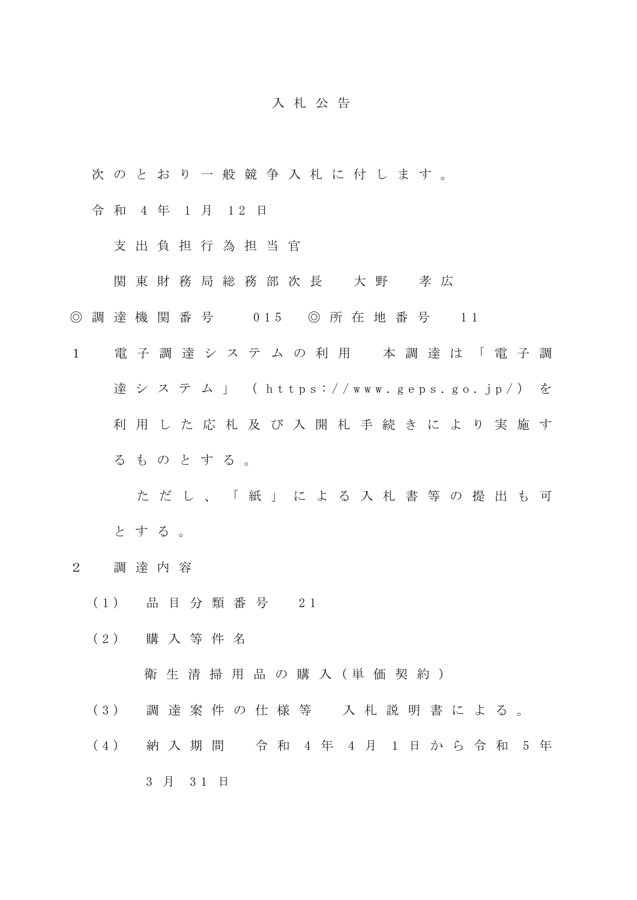## 入 札 公 告

- 次 の と お り 一 般 競 争 入 札 に 付 し ま す 。
- 令 和 4 年 1 月 12 日
	- 支 出 負 担 行 為 担 当 官
	- 関 東 財 務 局 総 務 部 次 長 大 野 孝 広
- ◎ 調 達 機 関 番 号 0 15 ◎ 所 在 地 番 号 1 1
- 1 電 子 調 達 シ ス テ ム の 利 用 本 調 達 は 「 電 子 調 達 シ ス テ ム 」 ( https://www.geps.go.jp/) を 利 用 し た 応 札 及 び 入 開 札 手 続 き に よ り 実 施 す る も の と す る 。

た だ し 、 「 紙 」 に よ る 入 札 書 等 の 提 出 も 可 と す る 。

- 2 調 達 内 容
	- ( 1 ) 品 目 分 類 番 号 2 1
	- ( 2 ) 購 入 等 件 名

衛生清掃用品の購入 (単価契約)

- ( 3 ) 調 達 案 件 の 仕 様 等 入 札 説 明 書 に よ る 。
- ( 4 ) 納 入 期 間 令 和 4 年 4 月 1 日 か ら 令 和 5 年 3 月 3 1 日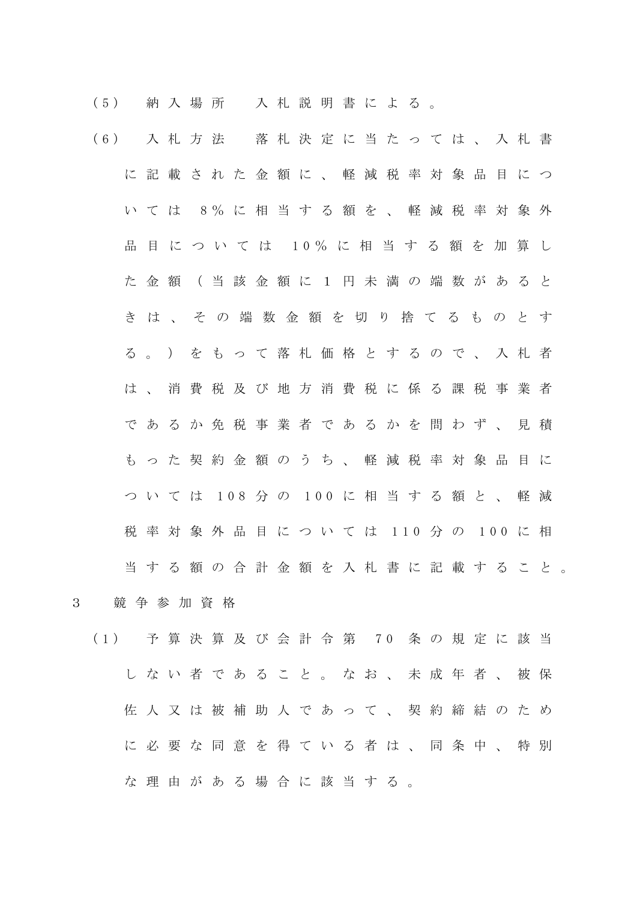( 5 ) 納 入 場 所 入 札 説 明 書 に よ る 。

- ( 6 ) 入 札 方 法 落 札 決 定 に 当 た っ て は 、 入 札 書 に記載された金額に、軽減税率対象品目につ い て は 8 % に 相 当 す る 額 を 、 軽 減 税 率 対 象 外 品 目 に つ い て は 10% に 相 当 す る 額 を 加 算 し た 金 額 ( 当 該 金 額 に 1 円 未 満 の 端 数 が あ る と き は 、 そ の 端 数 金 額 を 切 り 捨 て る も の と す る 。 ) を も っ て 落 札 価 格 と す る の で 、 入 札 者 は 、 消 費 税 及 び 地 方 消 費 税 に 係 る 課 税 事 業 者 で あ る か 免 税 事 業 者 で あ る か を 問 わ ず 、 見 積 もった契約金額のうち、軽減税率対象品目に つ い て は 108 分 の 100 に 相 当 す る 額 と 、 軽 減 税 率 対 象 外 品 目 に つ い て は 110 分 の 100 に 相 当 す る 額 の 合 計 金 額 を 入 札 書 に 記 載 す る こ と 。
- 3 競 争 参 加 資 格
	- ( 1 ) 予 算 決 算 及 び 会 計 令 第 7 0 条 の 規 定 に 該 当 し な い 者 で あ る こ と 。 な お 、 未 成 年 者 、 被 保 佐 人 又 は 被 補 助 人 で あ っ て 、 契 約 締 結 の た め に必要な同意を得ている者は、同条中、特別 な 理 由 が あ る 場 合 に 該 当 す る 。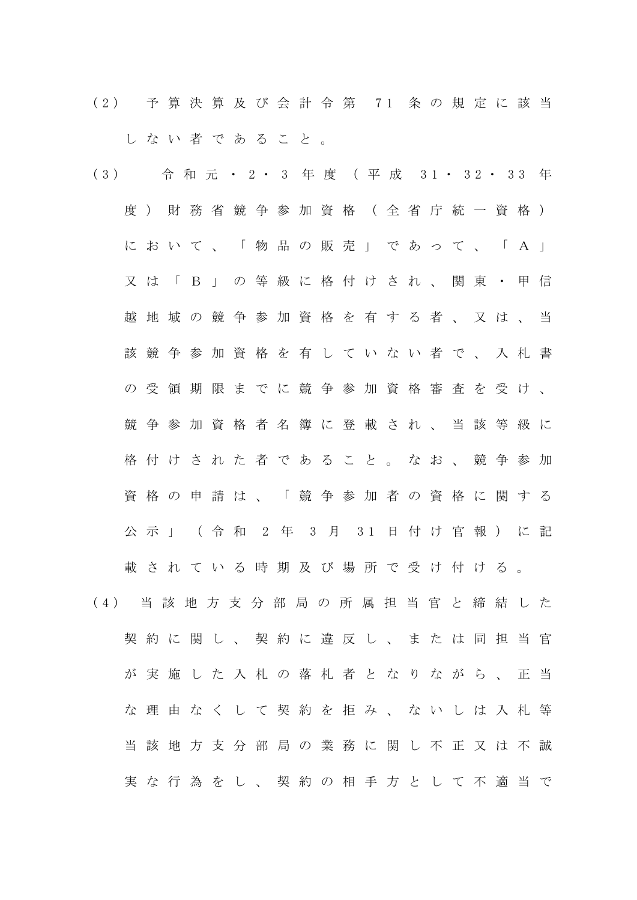( 2 ) 予 算 決 算 及 び 会 計 令 第 7 1 条 の 規 定 に 該 当 し な い 者 で あ る こ と 。

(3) 令 和 元 · 2 · 3 年 度 (平 成 31 · 32 · 33 年 度) 財 務 省 競 争 参 加 資 格 (全 省 庁 統 一 資 格 ) において、「物品の販売」であって、「A」 又 は 「 B 」 の 等 級 に 格 付 け さ れ 、 関 東 ・ 甲 信 越 地 域 の 競 争 参 加 資 格 を 有 す る 者 、 又 は 、 当 該 競 争 参 加 資 格 を 有 し て い な い 者 で 、 入 札 書 の 受 領 期 限 ま で に 競 争 参 加 資 格 審 査 を 受 け 、 競争 参 加 資 格 者 名 簿 に 登 載 さ れ 、 当 該 等 級 に 格 付 け さ れ た 者 で あ る こ と 。 な お 、 競 争 参 加 資格の申請は、「競争参加者の資格に関する 公 示 」 ( 令 和 2 年 3 月 31 日 付 け 官 報 ) に 記 載 さ れ て い る 時 期 及 び 場 所 で 受 け 付 け る 。 ( 4 ) 当 該 地 方 支 分 部 局 の 所 属 担 当 官 と 締 結 し た 契約に関し、契約に違反し、または同担当官 が 実 施 し た 入 札 の 落 札 者 と な り な が ら 、 正 当 な 理 由 な く し て 契 約 を 拒 み 、 な い し は 入 札 等 当 該 地 方 支 分 部 局 の 業 務 に 関 し 不 正 又 は 不 誠

実な行為をし、契約の相手方として不適当で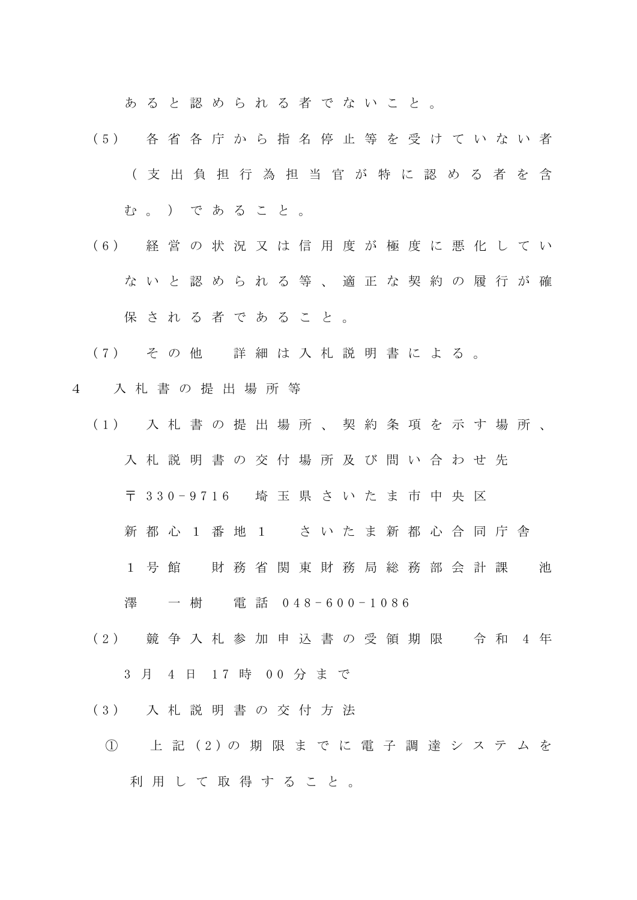あ る と 認 め ら れ る 者 で な い こ と 。

- ( 5 ) 各 省 各 庁 か ら 指 名 停 止 等 を 受 け て い な い 者 ( 支 出 負 担 行 為 担 当 官 が 特 に 認 め る 者 を 含 む。) であること。
- ( 6 ) 経 営 の 状 況 又 は 信 用 度 が 極 度 に 悪 化 し て い ないと認められる等、適正な契約の履行が確 保 さ れ る 者 で あ る こ と 。
- ( 7 ) そ の 他 詳 細 は 入 札 説 明 書 に よ る 。
- 4 入 札 書 の 提 出 場 所 等
	- ( 1 ) 入 札 書 の 提 出 場 所 、 契 約 条 項 を 示 す 場 所 、 入 札 説 明 書 の 交 付 場 所 及 び 問 い 合 わ せ 先
		- 〒 3 3 0 9 7 1 6 埼 玉 県 さ い た ま 市 中 央 区
		- 新都 心 1 番 地 1 さ い た ま 新 都 心 合 同 庁 舎
		- 1 号 館 財 務 省 関 東 財 務 局 総 務 部 会 計 課 池

澤 一 樹 電 話 0 4 8 - 6 0 0 - 1 0 8 6

- (2) 競争入札参加申込書の受領期限 令和 4年 3 月 4 日 17 時 00 分 ま で
- ( 3 ) 入 札 説 明 書 の 交 付 方 法
- ① 上 記 ( 2 ) の 期 限 ま で に 電 子 調 達 シ ス テ ム を 利 用 し て 取 得 す る こ と 。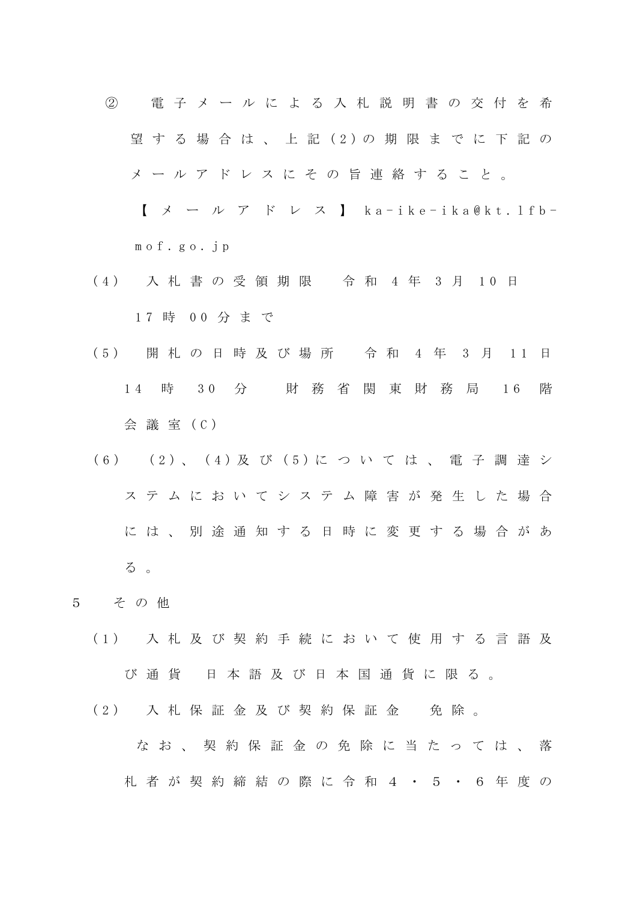② 電 子 メ ー ル に よ る 入 札 説 明 書 の 交 付 を 希 望する場合は、上記(2)の期限までに下記の メ ー ル ア ド レ ス に そ の 旨 連 絡 す る こ と 。

【 メ ー ル ア ド レ ス 】 k a - i k e - i k a @ k t . l f b m o f . g o . j p

- (4) 入札書の受領期限 令和 4年 3月 10日 1 7 時 0 0 分 ま で
- ( 5 ) 開 札 の 日 時 及 び 場 所 令 和 4 年 3 月 1 1 日 1 4 時 3 0 分 財 務 省 関 東 財 務 局 1 6 階 会 議 室 ( C )
- ( 6 ) ( 2 ) 、 ( 4 ) 及 び ( 5 ) に つ い て は 、 電 子 調 達 シ ス テ ム に お い て シ ス テ ム 障 害 が 発 生 し た 場 合 に は 、 別 途 通 知 す る 日 時 に 変 更 す る 場 合 が あ る 。
- 5 そ の 他
	- ( 1 ) 入 札 及 び 契 約 手 続 に お い て 使 用 す る 言 語 及 び 通 貨 日 本 語 及 び 日 本 国 通 貨 に 限 る 。
	- (2) 入札保証金及び契約保証金 免除。 な お 、 契 約 保 証 金 の 免 除 に 当 た っ て は 、 落 札 者 が 契 約 締 結 の 際 に 令 和 4 ・ 5 ・ 6 年 度 の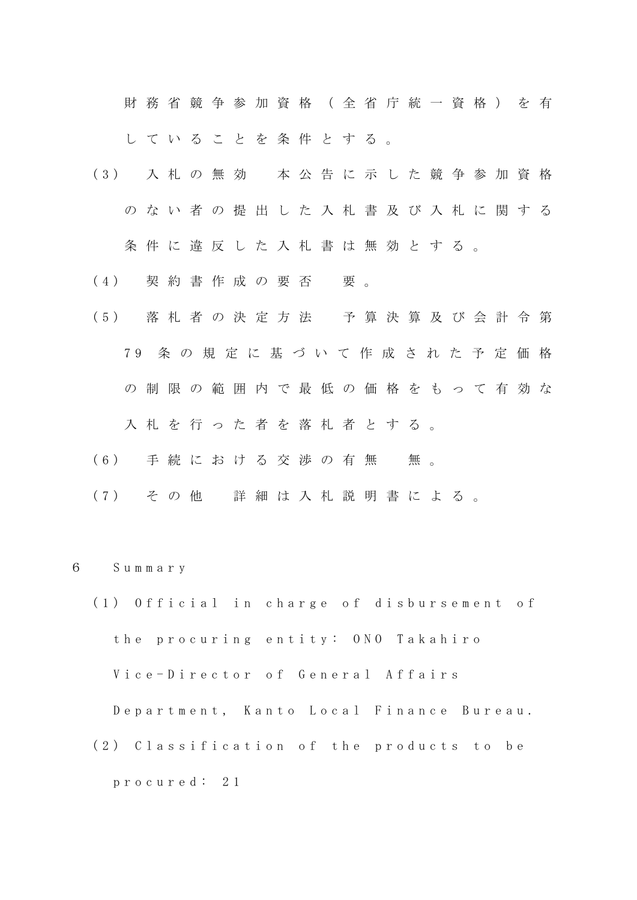財 務 省 競 争 参 加 資 格 ( 全 省 庁 統 一 資 格 ) を 有 し て い る こ と を 条 件 と す る 。

- ( 3 ) 入 札 の 無 効 本 公 告 に 示 し た 競 争 参 加 資 格 の な い 者 の 提 出 し た 入 札 書 及 び 入 札 に 関 す る 条件に違反した入札書は無効とする。
- (4) 契約書作成の要否 要。
- ( 5 ) 落 札 者 の 決 定 方 法 予 算 決 算 及 び 会 計 令 第 7 9 条 の 規 定 に 基 づ い て 作 成 さ れ た 予 定 価 格 の制限の範囲内で最低の価格をもって有効な 入札を行った者を落札者とする。
- (6) 手続における交渉の有無 無。
- ( 7 ) そ の 他 詳 細 は 入 札 説 明 書 に よ る 。
- 6 S u m m a r y
	- (1) Official in charge of disbursement of the procuring entity: ONO Takahiro Vice-Director of General Affairs Department, Kanto Local Finance Bureau. (2) Classification of the products to be p r o c u r e d : 2 1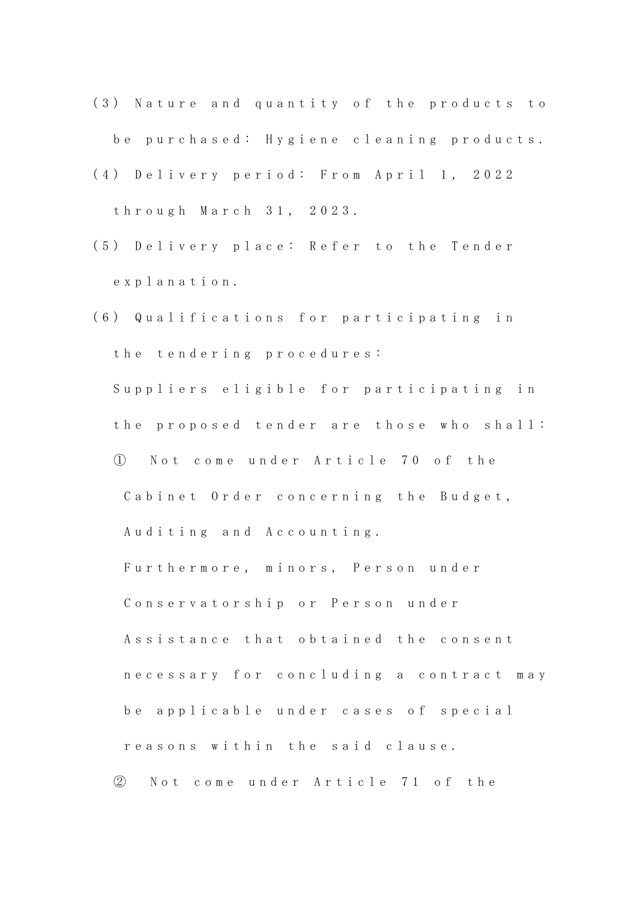- (3) Nature and quantity of the products to be purchased: Hygiene cleaning products.
- (4) Delivery period: From April 1, 2022 t h r o u g h M a r c h 3 1 , 2 0 2 3 .
- (5) Delivery place: Refer to the Tender e x p l a n a t i o n .
- (6) Qualifications for participating in the tendering procedures: Suppliers eligible for participating in the proposed tender are those who shall: ① N o t c o m e u n d e r A r t i c l e 7 0 o f t h e Cabinet Order concerning the Budget, Auditing and Accounting.

Furthermore, minors, Person under

Conservatorship or Person under

Assistance that obtained the consent necessary for concluding a contract may be applicable under cases of special reasons within the said clause.

② N o t c o m e u n d e r A r t i c l e 7 1 o f t h e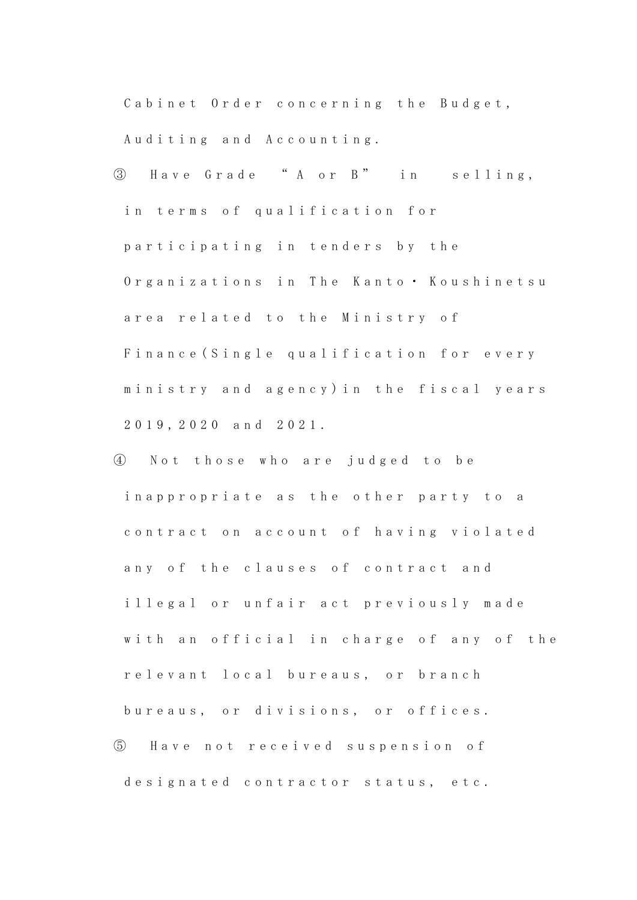Cabinet Order concerning the Budget, Auditing and Accounting.

- ③ H a v e G r a d e " A o r B " i n s e l l i n g , in terms of qualification for participating in tenders by the Organizations in The Kanto • Koushinetsu area related to the Ministry of Finance (Single qualification for every ministry and agency) in the fiscal years 2 0 1 9 , 2 0 2 0 a n d 2 0 2 1 .
- ④ N o t t h o s e w h o a r e j u d g e d t o b e in a p p r o p r i a t e a s the other party to a contract on account of having violated any of the clauses of contract and illegal or unfair act previously made with an official in charge of any of the relevant local bureaus, or branch bureaus, or divisions, or offices. ⑤ H a v e n o t r e c e i v e d s u s p e n s i o n o f designated contractor status, etc.